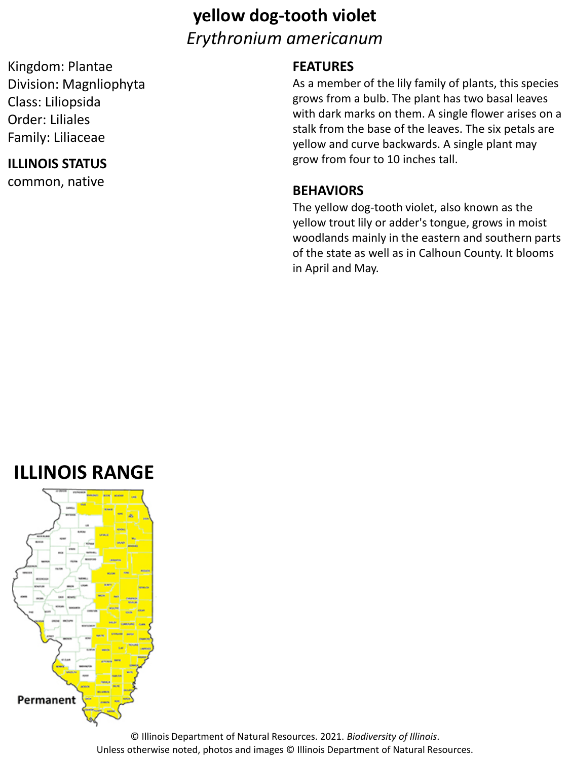# **yellow dog-tooth violet** *Erythronium americanum*

Kingdom: Plantae Division: Magnliophyta Class: Liliopsida Order: Liliales Family: Liliaceae

### **ILLINOIS STATUS**

common, native

### **FEATURES**

As a member of the lily family of plants, this species grows from a bulb. The plant has two basal leaves with dark marks on them. A single flower arises on a stalk from the base of the leaves. The six petals are yellow and curve backwards. A single plant may grow from four to 10 inches tall.

#### **BEHAVIORS**

The yellow dog-tooth violet, also known as the yellow trout lily or adder's tongue, grows in moist woodlands mainly in the eastern and southern parts of the state as well as in Calhoun County. It blooms in April and May.

# **ILLINOIS RANGE**



© Illinois Department of Natural Resources. 2021. *Biodiversity of Illinois*. Unless otherwise noted, photos and images © Illinois Department of Natural Resources.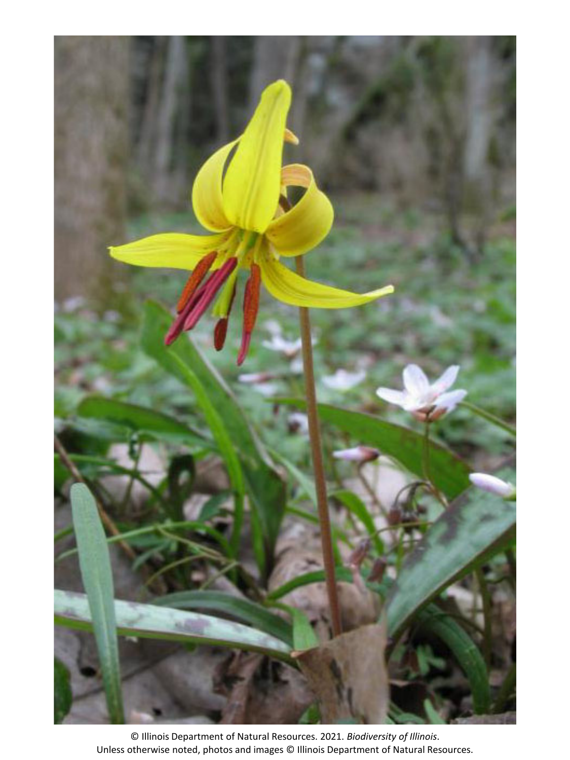

© Illinois Department of Natural Resources. 2021. *Biodiversity of Illinois*. Unless otherwise noted, photos and images © Illinois Department of Natural Resources.